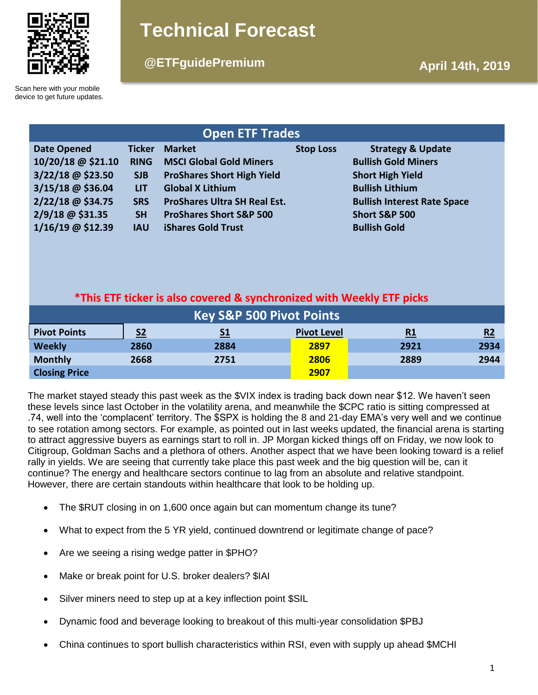

# **Technical Forecast**

# **@ETFguidePremium April 14th, 2019**

Scan here with your mobile device to get future updates.

| <b>Open ETF Trades</b> |               |                                     |                  |                                    |  |  |  |  |
|------------------------|---------------|-------------------------------------|------------------|------------------------------------|--|--|--|--|
| <b>Date Opened</b>     | <b>Ticker</b> | <b>Market</b>                       | <b>Stop Loss</b> | <b>Strategy &amp; Update</b>       |  |  |  |  |
| 10/20/18 @ \$21.10     | <b>RING</b>   | <b>MSCI Global Gold Miners</b>      |                  | <b>Bullish Gold Miners</b>         |  |  |  |  |
| $3/22/18$ @ \$23.50    | <b>SJB</b>    | <b>ProShares Short High Yield</b>   |                  | <b>Short High Yield</b>            |  |  |  |  |
| $3/15/18$ @ \$36.04    | <b>LIT</b>    | <b>Global X Lithium</b>             |                  | <b>Bullish Lithium</b>             |  |  |  |  |
| 2/22/18 @ \$34.75      | <b>SRS</b>    | <b>ProShares Ultra SH Real Est.</b> |                  | <b>Bullish Interest Rate Space</b> |  |  |  |  |
| 2/9/18 @ \$31.35       | <b>SH</b>     | <b>ProShares Short S&amp;P 500</b>  |                  | <b>Short S&amp;P 500</b>           |  |  |  |  |
| $1/16/19$ @ \$12.39    | <b>IAU</b>    | <b>iShares Gold Trust</b>           |                  | <b>Bullish Gold</b>                |  |  |  |  |

# **\*This ETF ticker is also covered & synchronized with Weekly ETF picks**

| <b>Key S&amp;P 500 Pivot Points</b> |                |           |                    |           |      |  |  |  |
|-------------------------------------|----------------|-----------|--------------------|-----------|------|--|--|--|
| <b>Pivot Points</b>                 | S <sub>2</sub> | <u>S1</u> | <b>Pivot Level</b> | <u>R1</u> | R2   |  |  |  |
| <b>Weekly</b>                       | 2860           | 2884      | 2897               | 2921      | 2934 |  |  |  |
| <b>Monthly</b>                      | 2668           | 2751      | 2806               | 2889      | 2944 |  |  |  |
| <b>Closing Price</b>                |                |           | 2907               |           |      |  |  |  |

The market stayed steady this past week as the \$VIX index is trading back down near \$12. We haven't seen these levels since last October in the volatility arena, and meanwhile the \$CPC ratio is sitting compressed at .74, well into the 'complacent' territory. The \$SPX is holding the 8 and 21-day EMA's very well and we continue to see rotation among sectors. For example, as pointed out in last weeks updated, the financial arena is starting to attract aggressive buyers as earnings start to roll in. JP Morgan kicked things off on Friday, we now look to Citigroup, Goldman Sachs and a plethora of others. Another aspect that we have been looking toward is a relief rally in yields. We are seeing that currently take place this past week and the big question will be, can it continue? The energy and healthcare sectors continue to lag from an absolute and relative standpoint. However, there are certain standouts within healthcare that look to be holding up.

- The \$RUT closing in on 1,600 once again but can momentum change its tune?
- What to expect from the 5 YR yield, continued downtrend or legitimate change of pace?
- Are we seeing a rising wedge patter in \$PHO?
- Make or break point for U.S. broker dealers? \$IAI
- Silver miners need to step up at a key inflection point \$SIL
- Dynamic food and beverage looking to breakout of this multi-year consolidation \$PBJ
- China continues to sport bullish characteristics within RSI, even with supply up ahead \$MCHI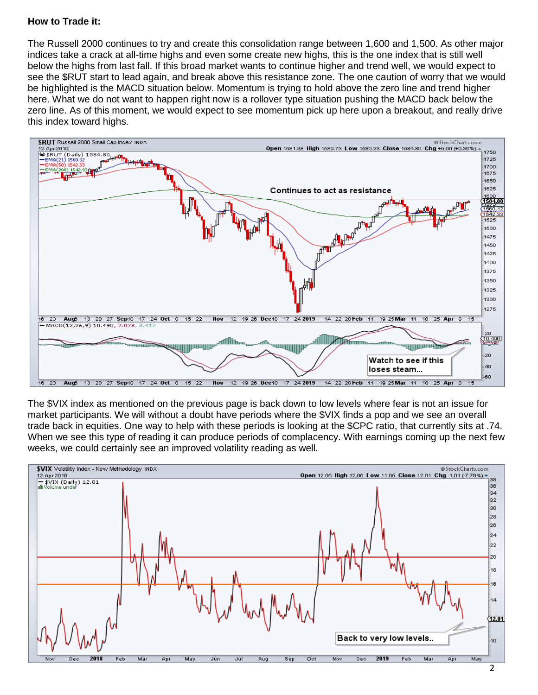### **How to Trade it:**

The Russell 2000 continues to try and create this consolidation range between 1,600 and 1,500. As other major indices take a crack at all-time highs and even some create new highs, this is the one index that is still well below the highs from last fall. If this broad market wants to continue higher and trend well, we would expect to see the \$RUT start to lead again, and break above this resistance zone. The one caution of worry that we would be highlighted is the MACD situation below. Momentum is trying to hold above the zero line and trend higher here. What we do not want to happen right now is a rollover type situation pushing the MACD back below the zero line. As of this moment, we would expect to see momentum pick up here upon a breakout, and really drive this index toward highs.



The \$VIX index as mentioned on the previous page is back down to low levels where fear is not an issue for market participants. We will without a doubt have periods where the \$VIX finds a pop and we see an overall trade back in equities. One way to help with these periods is looking at the \$CPC ratio, that currently sits at .74. When we see this type of reading it can produce periods of complacency. With earnings coming up the next few weeks, we could certainly see an improved volatility reading as well.

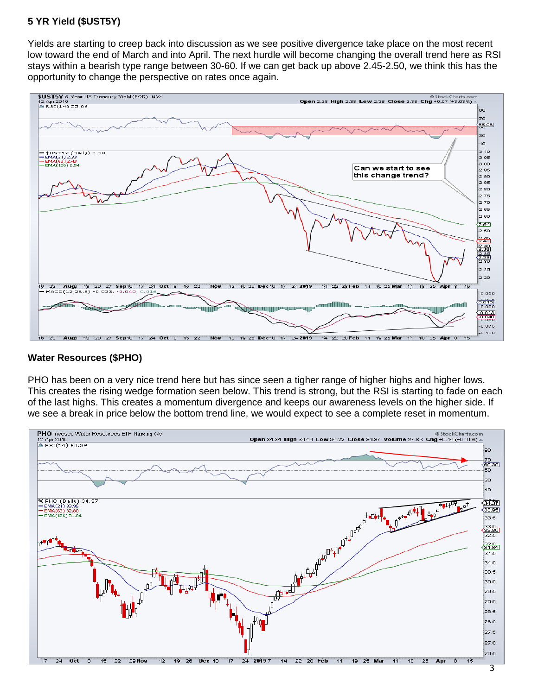# **5 YR Yield (\$UST5Y)**

Yields are starting to creep back into discussion as we see positive divergence take place on the most recent low toward the end of March and into April. The next hurdle will become changing the overall trend here as RSI stays within a bearish type range between 30-60. If we can get back up above 2.45-2.50, we think this has the opportunity to change the perspective on rates once again.



#### **Water Resources (\$PHO)**

PHO has been on a very nice trend here but has since seen a tigher range of higher highs and higher lows. This creates the rising wedge formation seen below. This trend is strong, but the RSI is starting to fade on each of the last highs. This creates a momentum divergence and keeps our awareness levels on the higher side. If we see a break in price below the bottom trend line, we would expect to see a complete reset in momentum.

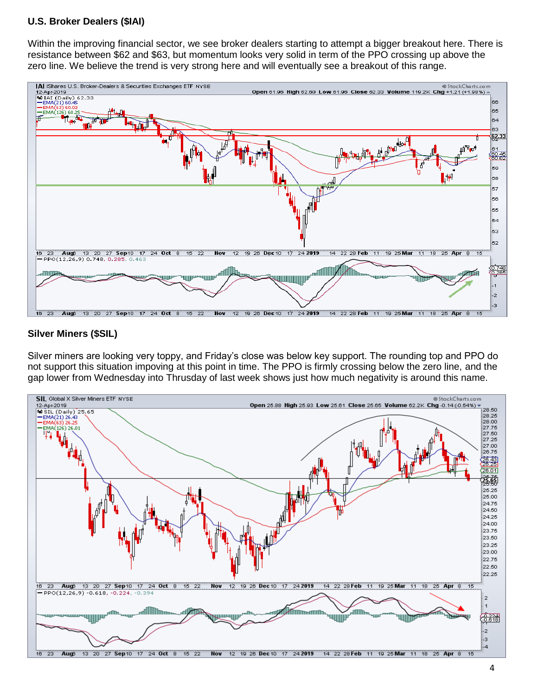### **U.S. Broker Dealers (\$IAI)**

Within the improving financial sector, we see broker dealers starting to attempt a bigger breakout here. There is resistance between \$62 and \$63, but momentum looks very solid in term of the PPO crossing up above the zero line. We believe the trend is very strong here and will eventually see a breakout of this range.



#### **Silver Miners (\$SIL)**

Silver miners are looking very toppy, and Friday's close was below key support. The rounding top and PPO do not support this situation impoving at this point in time. The PPO is firmly crossing below the zero line, and the gap lower from Wednesday into Thrusday of last week shows just how much negativity is around this name.